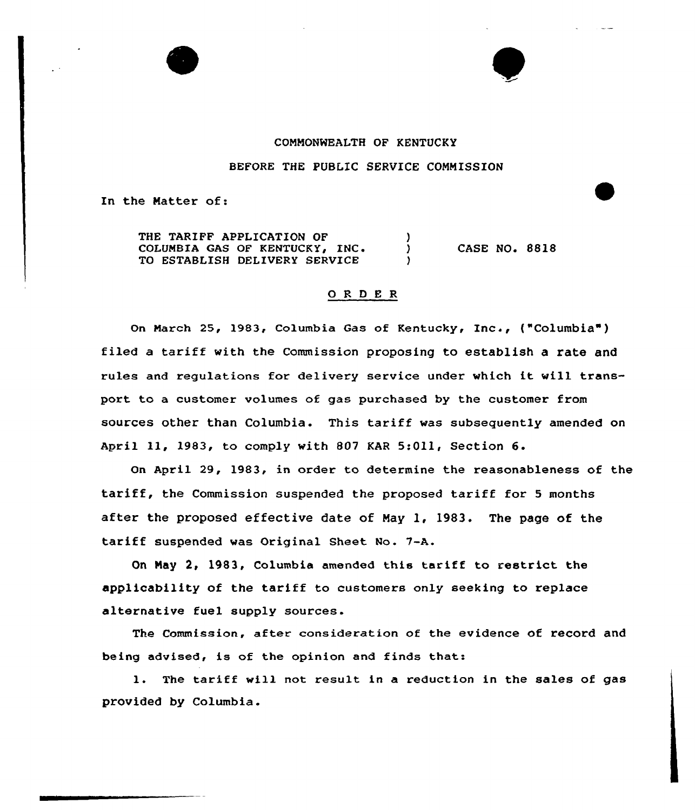

## COHHONNEALTH OF KENTUCKY

### BEFORE THE PUBLIC SERVICE COMMISSION

In the Hatter of:

THE TARIFF APPLICATION OF COLUMBIA GAS OF KENTUCKY, INC.  $\lambda$ TO ESTABLISH DELIVERY SERVICE

CASE NO. 8818

#### 0 R <sup>D</sup> E R

On March 25, 1983, Columbia Gas of Kentucky, Inc., ("Columbia") filed <sup>a</sup> tariff with the Commission proposing to establish a rate and rules and regulations for delivery service under which it will transport to a customer volumes of gas purchased by the customer from sources other than Columbia. This tariff was subsequently amended on April ll, 1983, to comply with <sup>807</sup> KAR 5:Oll, Section 6.

On April 29, 1983, in order to determine the reasonableness of the tariff, the Commission suspended the proposed tariff for <sup>5</sup> months after the proposed effective date of May 1, 1983. The page of the tariff suspended was Original Sheet No. 7-A.

On Hay 2, 1983, Columbia amended this tariff to restrict the applicability of the tariff to customers only seeking to replace alternative fuel supply sources.

The Commission, after consideration of the evidence of record and being advised, is of the opinion and finds that:

1. The tariff will not result in <sup>a</sup> reduction in the sales of gas provided by Columbia.